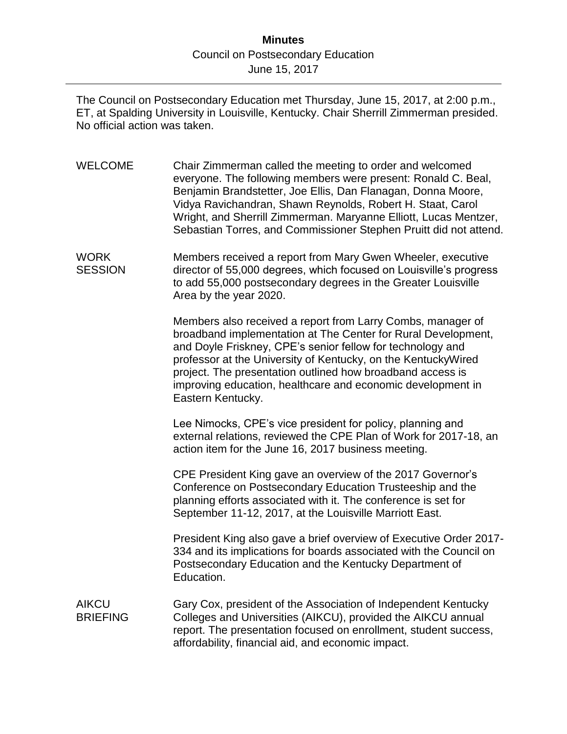## **Minutes** Council on Postsecondary Education June 15, 2017

The Council on Postsecondary Education met Thursday, June 15, 2017, at 2:00 p.m., ET, at Spalding University in Louisville, Kentucky. Chair Sherrill Zimmerman presided. No official action was taken.

WELCOME Chair Zimmerman called the meeting to order and welcomed everyone. The following members were present: Ronald C. Beal, Benjamin Brandstetter, Joe Ellis, Dan Flanagan, Donna Moore, Vidya Ravichandran, Shawn Reynolds, Robert H. Staat, Carol Wright, and Sherrill Zimmerman. Maryanne Elliott, Lucas Mentzer, Sebastian Torres, and Commissioner Stephen Pruitt did not attend. WORK **SESSION** Members received a report from Mary Gwen Wheeler, executive director of 55,000 degrees, which focused on Louisville's progress to add 55,000 postsecondary degrees in the Greater Louisville Area by the year 2020. Members also received a report from Larry Combs, manager of broadband implementation at The Center for Rural Development, and Doyle Friskney, CPE's senior fellow for technology and professor at the University of Kentucky, on the KentuckyWired project. The presentation outlined how broadband access is improving education, healthcare and economic development in Eastern Kentucky. Lee Nimocks, CPE's vice president for policy, planning and external relations, reviewed the CPE Plan of Work for 2017-18, an action item for the June 16, 2017 business meeting. CPE President King gave an overview of the 2017 Governor's Conference on Postsecondary Education Trusteeship and the planning efforts associated with it. The conference is set for

> President King also gave a brief overview of Executive Order 2017- 334 and its implications for boards associated with the Council on Postsecondary Education and the Kentucky Department of Education.

September 11-12, 2017, at the Louisville Marriott East.

AIKCU **BRIFFING** Gary Cox, president of the Association of Independent Kentucky Colleges and Universities (AIKCU), provided the AIKCU annual report. The presentation focused on enrollment, student success, affordability, financial aid, and economic impact.